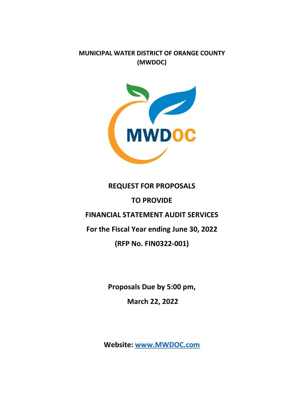**MUNICIPAL WATER DISTRICT OF ORANGE COUNTY (MWDOC)**



# **REQUEST FOR PROPOSALS**

# **TO PROVIDE**

# **FINANCIAL STATEMENT AUDIT SERVICES**

**For the Fiscal Year ending June 30, 2022**

# **(RFP No. FIN0322-001)**

**Proposals Due by 5:00 pm,**

**March 22, 2022**

**Website: [www.MWDOC.com](http://www.mwdoc.com/)**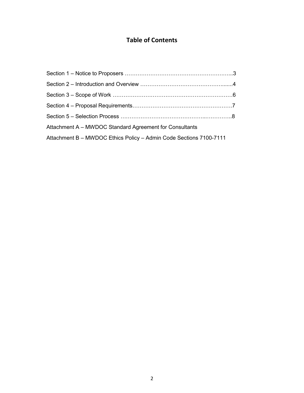# **Table of Contents**

| Attachment A - MWDOC Standard Agreement for Consultants            |  |
|--------------------------------------------------------------------|--|
| Attachment B - MWDOC Ethics Policy - Admin Code Sections 7100-7111 |  |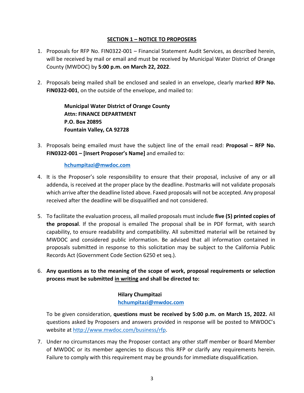#### **SECTION 1 – NOTICE TO PROPOSERS**

- 1. Proposals for RFP No. FIN0322-001 Financial Statement Audit Services, as described herein, will be received by mail or email and must be received by Municipal Water District of Orange County (MWDOC) by **5:00 p.m. on March 22, 2022**.
- 2. Proposals being mailed shall be enclosed and sealed in an envelope, clearly marked **RFP No. FIN0322-001**, on the outside of the envelope, and mailed to:

**Municipal Water District of Orange County Attn: FINANCE DEPARTMENT P.O. Box 20895 Fountain Valley, CA 92728**

3. Proposals being emailed must have the subject line of the email read: **Proposal – RFP No. FIN0322-001 – [Insert Proposer's Name]** and emailed to:

#### **[hchumpitazi@mwdoc.com](mailto:hchumpitazi@mwdoc.com)**

- 4. It is the Proposer's sole responsibility to ensure that their proposal, inclusive of any or all addenda, is received at the proper place by the deadline. Postmarks will not validate proposals which arrive after the deadline listed above. Faxed proposals will not be accepted. Any proposal received after the deadline will be disqualified and not considered.
- 5. To facilitate the evaluation process, all mailed proposals must include **five (5) printed copies of the proposal**. If the proposal is emailed The proposal shall be in PDF format, with search capability, to ensure readability and compatibility. All submitted material will be retained by MWDOC and considered public information. Be advised that all information contained in proposals submitted in response to this solicitation may be subject to the California Public Records Act (Government Code Section 6250 et seq.).
- 6. **Any questions as to the meaning of the scope of work, proposal requirements or selection process must be submitted in writing and shall be directed to:**

# **Hilary Chumpitazi [hchumpitazi@mwdoc.com](mailto:hchumpitazi@mwdoc.com)**

To be given consideration, **questions must be received by 5:00 p.m. on March 15, 2022.** All questions asked by Proposers and answers provided in response will be posted to MWDOC's website at [http://www.mwdoc.com/business/rfp.](http://www.mwdoc.com/business/rfp)

7. Under no circumstances may the Proposer contact any other staff member or Board Member of MWDOC or its member agencies to discuss this RFP or clarify any requirements herein. Failure to comply with this requirement may be grounds for immediate disqualification.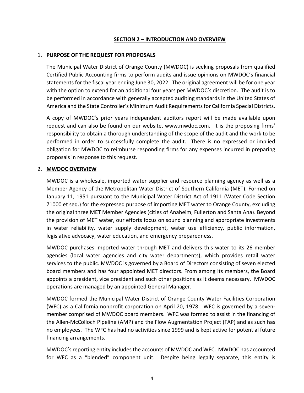#### **SECTION 2 – INTRODUCTION AND OVERVIEW**

#### 1. **PURPOSE OF THE REQUEST FOR PROPOSALS**

The Municipal Water District of Orange County (MWDOC) is seeking proposals from qualified Certified Public Accounting firms to perform audits and issue opinions on MWDOC's financial statements for the fiscal year ending June 30, 2022. The original agreement will be for one year with the option to extend for an additional four years per MWDOC's discretion. The audit is to be performed in accordance with generally accepted auditing standards in the United States of America and the State Controller's Minimum Audit Requirements for California Special Districts.

A copy of MWDOC's prior years independent auditors report will be made available upon request and can also be found on our website, www.mwdoc.com. It is the proposing firms' responsibility to obtain a thorough understanding of the scope of the audit and the work to be performed in order to successfully complete the audit. There is no expressed or implied obligation for MWDOC to reimburse responding firms for any expenses incurred in preparing proposals in response to this request.

#### 2. **MWDOC OVERVIEW**

MWDOC is a wholesale, imported water supplier and resource planning agency as well as a Member Agency of the Metropolitan Water District of Southern California (MET). Formed on January 11, 1951 pursuant to the Municipal Water District Act of 1911 (Water Code Section 71000 et seq.) for the expressed purpose of importing MET water to Orange County, excluding the original three MET Member Agencies (cities of Anaheim, Fullerton and Santa Ana). Beyond the provision of MET water, our efforts focus on sound planning and appropriate investments in water reliability, water supply development, water use efficiency, public information, legislative advocacy, water education, and emergency preparedness.

MWDOC purchases imported water through MET and delivers this water to its 26 member agencies (local water agencies and city water departments), which provides retail water services to the public. MWDOC is governed by a Board of Directors consisting of seven elected board members and has four appointed MET directors. From among its members, the Board appoints a president, vice president and such other positions as it deems necessary. MWDOC operations are managed by an appointed General Manager.

MWDOC formed the Municipal Water District of Orange County Water Facilities Corporation (WFC) as a California nonprofit corporation on April 20, 1978. WFC is governed by a sevenmember comprised of MWDOC board members. WFC was formed to assist in the financing of the Allen-McColloch Pipeline (AMP) and the Flow Augmentation Project (FAP) and as such has no employees. The WFC has had no activities since 1999 and is kept active for potential future financing arrangements.

MWDOC'sreporting entity includes the accounts of MWDOC and WFC. MWDOC has accounted for WFC as a "blended" component unit. Despite being legally separate, this entity is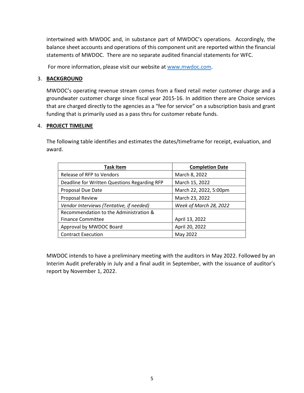intertwined with MWDOC and, in substance part of MWDOC's operations. Accordingly, the balance sheet accounts and operations of this component unit are reported within the financial statements of MWDOC. There are no separate audited financial statements for WFC.

For more information, please visit our website at [www.mwdoc.com.](http://www.mwdoc.com/)

#### 3. **BACKGROUND**

MWDOC's operating revenue stream comes from a fixed retail meter customer charge and a groundwater customer charge since fiscal year 2015-16. In addition there are Choice services that are charged directly to the agencies as a "fee for service" on a subscription basis and grant funding that is primarily used as a pass thru for customer rebate funds.

#### 4. **PROJECT TIMELINE**

The following table identifies and estimates the dates/timeframe for receipt, evaluation, and award.

| <b>Task Item</b>                             | <b>Completion Date</b> |
|----------------------------------------------|------------------------|
| Release of RFP to Vendors                    | March 8, 2022          |
| Deadline for Written Questions Regarding RFP | March 15, 2022         |
| Proposal Due Date                            | March 22, 2022, 5:00pm |
| Proposal Review                              | March 23, 2022         |
| Vendor Interviews (Tentative, if needed)     | Week of March 28, 2022 |
| Recommendation to the Administration &       |                        |
| <b>Finance Committee</b>                     | April 13, 2022         |
| Approval by MWDOC Board                      | April 20, 2022         |
| <b>Contract Execution</b>                    | May 2022               |

MWDOC intends to have a preliminary meeting with the auditors in May 2022. Followed by an Interim Audit preferably in July and a final audit in September, with the issuance of auditor's report by November 1, 2022.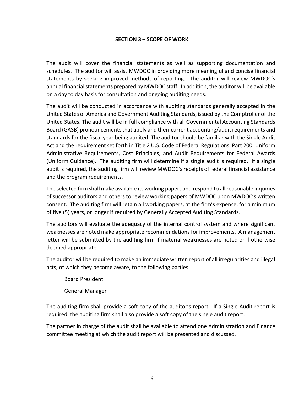#### **SECTION 3 – SCOPE OF WORK**

The audit will cover the financial statements as well as supporting documentation and schedules. The auditor will assist MWDOC in providing more meaningful and concise financial statements by seeking improved methods of reporting. The auditor will review MWDOC's annual financial statements prepared by MWDOC staff. In addition, the auditor will be available on a day to day basis for consultation and ongoing auditing needs.

The audit will be conducted in accordance with auditing standards generally accepted in the United States of America and Government Auditing Standards, issued by the Comptroller of the United States. The audit will be in full compliance with all Governmental Accounting Standards Board (GASB) pronouncements that apply and then-current accounting/audit requirements and standards for the fiscal year being audited. The auditor should be familiar with the Single Audit Act and the requirement set forth in Title 2 U.S. Code of Federal Regulations, Part 200, Uniform Administrative Requirements, Cost Principles, and Audit Requirements for Federal Awards (Uniform Guidance). The auditing firm will determine if a single audit is required. If a single audit is required, the auditing firm will review MWDOC's receipts of federal financial assistance and the program requirements.

The selected firm shall make available its working papers and respond to all reasonable inquiries of successor auditors and others to review working papers of MWDOC upon MWDOC's written consent. The auditing firm will retain all working papers, at the firm's expense, for a minimum of five (5) years, or longer if required by Generally Accepted Auditing Standards.

The auditors will evaluate the adequacy of the internal control system and where significant weaknesses are noted make appropriate recommendations for improvements. A management letter will be submitted by the auditing firm if material weaknesses are noted or if otherwise deemed appropriate.

The auditor will be required to make an immediate written report of all irregularities and illegal acts, of which they become aware, to the following parties:

Board President

General Manager

The auditing firm shall provide a soft copy of the auditor's report. If a Single Audit report is required, the auditing firm shall also provide a soft copy of the single audit report.

The partner in charge of the audit shall be available to attend one Administration and Finance committee meeting at which the audit report will be presented and discussed.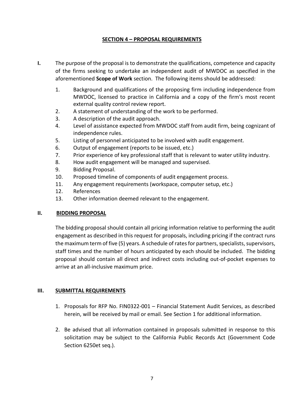#### **SECTION 4 – PROPOSAL REQUIREMENTS**

- **I.** The purpose of the proposal is to demonstrate the qualifications, competence and capacity of the firms seeking to undertake an independent audit of MWDOC as specified in the aforementioned **Scope of Work** section. The following items should be addressed:
	- 1. Background and qualifications of the proposing firm including independence from MWDOC, licensed to practice in California and a copy of the firm's most recent external quality control review report.
	- 2. A statement of understanding of the work to be performed.
	- 3. A description of the audit approach.
	- 4. Level of assistance expected from MWDOC staff from audit firm, being cognizant of independence rules.
	- 5. Listing of personnel anticipated to be involved with audit engagement.
	- 6. Output of engagement (reports to be issued, etc.)
	- 7. Prior experience of key professional staff that is relevant to water utility industry.
	- 8. How audit engagement will be managed and supervised.
	- 9. Bidding Proposal.
	- 10. Proposed timeline of components of audit engagement process.
	- 11. Any engagement requirements (workspace, computer setup, etc.)
	- 12. References
	- 13. Other information deemed relevant to the engagement.

#### **II. BIDDING PROPOSAL**

The bidding proposal should contain all pricing information relative to performing the audit engagement as described in this request for proposals, including pricing if the contract runs the maximum term of five (5) years. A schedule of rates for partners, specialists, supervisors, staff times and the number of hours anticipated by each should be included. The bidding proposal should contain all direct and indirect costs including out-of-pocket expenses to arrive at an all-inclusive maximum price.

#### **III. SUBMITTAL REQUIREMENTS**

- 1. Proposals for RFP No. FIN0322-001 Financial Statement Audit Services, as described herein, will be received by mail or email. See Section 1 for additional information.
- 2. Be advised that all information contained in proposals submitted in response to this solicitation may be subject to the California Public Records Act (Government Code Section 6250et seq.).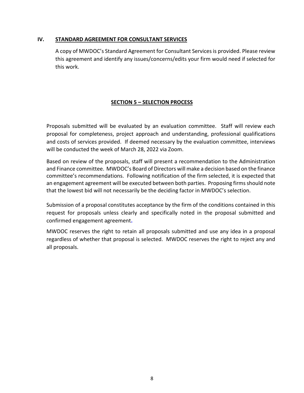#### **IV. STANDARD AGREEMENT FOR CONSULTANT SERVICES**

A copy of MWDOC's Standard Agreement for Consultant Services is provided. Please review this agreement and identify any issues/concerns/edits your firm would need if selected for this work.

#### **SECTION 5 – SELECTION PROCESS**

Proposals submitted will be evaluated by an evaluation committee. Staff will review each proposal for completeness, project approach and understanding, professional qualifications and costs of services provided. If deemed necessary by the evaluation committee, interviews will be conducted the week of March 28, 2022 via Zoom.

Based on review of the proposals, staff will present a recommendation to the Administration and Finance committee. MWDOC's Board of Directors will make a decision based on the finance committee's recommendations. Following notification of the firm selected, it is expected that an engagement agreement will be executed between both parties. Proposing firms should note that the lowest bid will not necessarily be the deciding factor in MWDOC's selection.

Submission of a proposal constitutes acceptance by the firm of the conditions contained in this request for proposals unless clearly and specifically noted in the proposal submitted and confirmed engagement agreement**.**

MWDOC reserves the right to retain all proposals submitted and use any idea in a proposal regardless of whether that proposal is selected. MWDOC reserves the right to reject any and all proposals.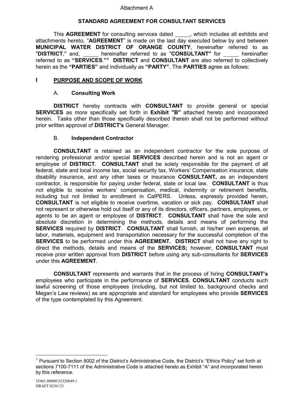#### Attachment A

#### **STANDARD AGREEMENT FOR CONSULTANT SERVICES**

This **AGREEMENT** for consulting services dated \_\_\_\_\_, which includes all exhibits and attachments hereto, "**AGREEMENT**" is made on the last day executed below by and between **MUNICIPAL WATER DISTRICT OF ORANGE COUNTY**, hereinafter referred to as "DISTRICT," and, hereinafter referred to as "CONSULTANT" for <u>each</u> hereinafter referred to as **"SERVICES**.**"[1](#page-8-0) DISTRICT** and **CONSULTANT** are also referred to collectively herein as the **"PARTIES"** and individually as **"PARTY"**. The **PARTIES** agree as follows:

#### **I PURPOSE AND SCOPE OF WORK**

#### A. **Consulting Work**

**DISTRICT** hereby contracts with **CONSULTANT** to provide general or special **SERVICES** as more specifically set forth in **Exhibit "B"** attached hereto and incorporated herein. Tasks other than those specifically described therein shall not be performed without prior written approval of **DISTRICT's** General Manager.

#### B. **Independent Contractor**

**CONSULTANT** is retained as an independent contractor for the sole purpose of rendering professional and/or special **SERVICES** described herein and is not an agent or employee of **DISTRICT**. **CONSULTANT** shall be solely responsible for the payment of all federal, state and local income tax, social security tax, Workers' Compensation insurance, state disability insurance, and any other taxes or insurance **CONSULTANT,** as an independent contractor, is responsible for paying under federal, state or local law. **CONSULTANT** is thus not eligible to receive workers' compensation, medical, indemnity or retirement benefits, including but not limited to enrollment in CalPERS. Unless, expressly provided herein, **CONSULTANT** is not eligible to receive overtime, vacation or sick pay. **CONSULTANT** shall not represent or otherwise hold out itself or any of its directors, officers, partners, employees, or agents to be an agent or employee of **DISTRICT**. **CONSULTANT** shall have the sole and absolute discretion in determining the methods, details and means of performing the **SERVICES** required by **DISTRICT**. **CONSULTANT** shall furnish, at his/her own expense, all labor, materials, equipment and transportation necessary for the successful completion of the **SERVICES** to be performed under this **AGREEMENT. DISTRICT** shall not have any right to direct the methods, details and means of the **SERVICES;** however, **CONSULTANT** must receive prior written approval from **DISTRICT** before using any sub-consultants for **SERVICES**  under this **AGREEMENT**.

**CONSULTANT** represents and warrants that in the process of hiring **CONSULTANT's** employees who participate in the performance of **SERVICES**, **CONSULTANT** conducts such lawful screening of those employees (including, but not limited to, background checks and Megan's Law reviews) as are appropriate and standard for employees who provide **SERVICES** of the type contemplated by this Agreement.

<span id="page-8-0"></span><sup>&</sup>lt;sup>1</sup> Pursuant to Section 8002 of the District's Administrative Code, the District's "Ethics Policy" set forth at sections 7100-7111 of the Administrative Code is attached hereto as Exhibit "A" and incorporated herein by this reference.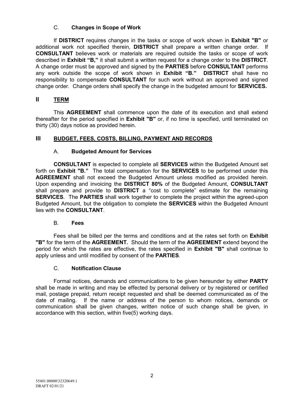#### C. **Changes in Scope of Work**

If **DISTRICT** requires changes in the tasks or scope of work shown in **Exhibit "B"** or additional work not specified therein, **DISTRICT** shall prepare a written change order. If **CONSULTANT** believes work or materials are required outside the tasks or scope of work described in **Exhibit "B,"** it shall submit a written request for a change order to the **DISTRICT**. A change order must be approved and signed by the **PARTIES** before **CONSULTANT** performs any work outside the scope of work shown in **Exhibit "B." DISTRICT** shall have no responsibility to compensate **CONSULTANT** for such work without an approved and signed change order. Change orders shall specify the change in the budgeted amount for **SERVICES.**

### **II TERM**

This **AGREEMENT** shall commence upon the date of its execution and shall extend thereafter for the period specified in **Exhibit "B"** or, if no time is specified, until terminated on thirty (30) days notice as provided herein.

### **III BUDGET, FEES, COSTS, BILLING, PAYMENT AND RECORDS**

### A. **Budgeted Amount for Services**

**CONSULTANT** is expected to complete all **SERVICES** within the Budgeted Amount set forth on **Exhibit "B."** The total compensation for the **SERVICES** to be performed under this **AGREEMENT** shall not exceed the Budgeted Amount unless modified as provided herein. Upon expending and invoicing the **DISTRICT 80%** of the Budgeted Amount, **CONSULTANT**  shall prepare and provide to **DISTRICT** a "cost to complete" estimate for the remaining **SERVICES**. The **PARTIES** shall work together to complete the project within the agreed-upon Budgeted Amount, but the obligation to complete the **SERVICES** within the Budgeted Amount lies with the **CONSULTANT**.

#### B. **Fees**

Fees shall be billed per the terms and conditions and at the rates set forth on **Exhibit "B"** for the term of the **AGREEMENT.** Should the term of the **AGREEMENT** extend beyond the period for which the rates are effective, the rates specified in **Exhibit "B"** shall continue to apply unless and until modified by consent of the **PARTIES**.

#### C. **Notification Clause**

Formal notices, demands and communications to be given hereunder by either **PARTY** shall be made in writing and may be effected by personal delivery or by registered or certified mail, postage prepaid, return receipt requested and shall be deemed communicated as of the date of mailing. If the name or address of the person to whom notices, demands or communication shall be given changes, written notice of such change shall be given, in accordance with this section, within five(5) working days.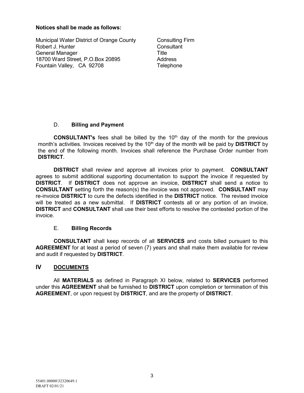#### **Notices shall be made as follows:**

Municipal Water District of Orange County Robert J. Hunter General Manager 18700 Ward Street, P.O.Box 20895 Fountain Valley, CA 92708

Consulting Firm **Consultant Title** Address **Telephone** 

#### D. **Billing and Payment**

**CONSULTANT's** fees shall be billed by the 10th day of the month for the previous month's activities. Invoices received by the 10<sup>th</sup> day of the month will be paid by **DISTRICT** by the end of the following month. Invoices shall reference the Purchase Order number from **DISTRICT**.

**DISTRICT** shall review and approve all invoices prior to payment. **CONSULTANT** agrees to submit additional supporting documentation to support the invoice if requested by **DISTRICT**. If **DISTRICT** does not approve an invoice, **DISTRICT** shall send a notice to **CONSULTANT** setting forth the reason(s) the invoice was not approved. **CONSULTANT** may re-invoice **DISTRICT** to cure the defects identified in the **DISTRICT** notice. The revised invoice will be treated as a new submittal. If **DISTRICT** contests all or any portion of an invoice, **DISTRICT** and **CONSULTANT** shall use their best efforts to resolve the contested portion of the invoice.

#### E. **Billing Records**

**CONSULTANT** shall keep records of all **SERVICES** and costs billed pursuant to this **AGREEMENT** for at least a period of seven (7) years and shall make them available for review and audit if requested by **DISTRICT**.

#### **IV DOCUMENTS**

All **MATERIALS** as defined in Paragraph XI below, related to **SERVICES** performed under this **AGREEMENT** shall be furnished to **DISTRICT** upon completion or termination of this **AGREEMENT**, or upon request by **DISTRICT**, and are the property of **DISTRICT**.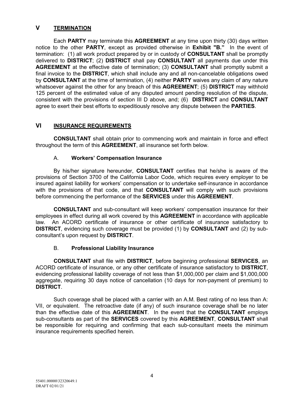#### **V TERMINATION**

Each **PARTY** may terminate this **AGREEMENT** at any time upon thirty (30) days written notice to the other **PARTY**, except as provided otherwise in **Exhibit "B."** In the event of termination: (1) all work product prepared by or in custody of **CONSULTANT** shall be promptly delivered to **DISTRICT**; (2) **DISTRICT** shall pay **CONSULTANT** all payments due under this **AGREEMENT** at the effective date of termination; (3) **CONSULTANT** shall promptly submit a final invoice to the **DISTRICT**, which shall include any and all non-cancelable obligations owed by **CONSULTANT** at the time of termination, (4) neither **PARTY** waives any claim of any nature whatsoever against the other for any breach of this **AGREEMENT**; (5) **DISTRICT** may withhold 125 percent of the estimated value of any disputed amount pending resolution of the dispute, consistent with the provisions of section III D above, and; (6) **DISTRICT** and **CONSULTANT** agree to exert their best efforts to expeditiously resolve any dispute between the **PARTIES**.

#### **VI INSURANCE REQUIREMENTS**

**CONSULTANT** shall obtain prior to commencing work and maintain in force and effect throughout the term of this **AGREEMENT**, all insurance set forth below.

#### A. **Workers' Compensation Insurance**

By his/her signature hereunder, **CONSULTANT** certifies that he/she is aware of the provisions of Section 3700 of the California Labor Code, which requires every employer to be insured against liability for workers' compensation or to undertake self-insurance in accordance with the provisions of that code, and that **CONSULTANT** will comply with such provisions before commencing the performance of the **SERVICES** under this **AGREEMENT**.

**CONSULTANT** and sub-consultant will keep workers' compensation insurance for their employees in effect during all work covered by this **AGREEMENT** in accordance with applicable law. An ACORD certificate of insurance or other certificate of insurance satisfactory to **DISTRICT**, evidencing such coverage must be provided (1) by **CONSULTANT** and (2) by subconsultant's upon request by **DISTRICT**.

#### B. **Professional Liability Insurance**

**CONSULTANT** shall file with **DISTRICT**, before beginning professional **SERVICES**, an ACORD certificate of insurance, or any other certificate of insurance satisfactory to **DISTRICT**, evidencing professional liability coverage of not less than \$1,000,000 per claim and \$1,000,000 aggregate, requiring 30 days notice of cancellation (10 days for non-payment of premium) to **DISTRICT**.

Such coverage shall be placed with a carrier with an A.M. Best rating of no less than A: VII, or equivalent. The retroactive date (if any) of such insurance coverage shall be no later than the effective date of this **AGREEMENT**. In the event that the **CONSULTANT** employs sub-consultants as part of the **SERVICES** covered by this **AGREEMENT**, **CONSULTANT** shall be responsible for requiring and confirming that each sub-consultant meets the minimum insurance requirements specified herein.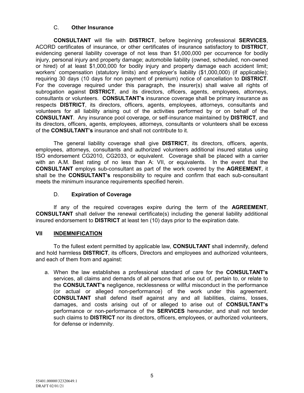#### C. **Other Insurance**

**CONSULTANT** will file with **DISTRICT**, before beginning professional **SERVICES**, ACORD certificates of insurance, or other certificates of insurance satisfactory to **DISTRICT**, evidencing general liability coverage of not less than \$1,000,000 per occurrence for bodily injury, personal injury and property damage; automobile liability (owned, scheduled, non-owned or hired) of at least \$1,000,000 for bodily injury and property damage each accident limit; workers' compensation (statutory limits) and employer's liability (\$1,000,000) (if applicable); requiring 30 days (10 days for non payment of premium) notice of cancellation to **DISTRICT**. For the coverage required under this paragraph, the insurer(s) shall waive all rights of subrogation against **DISTRICT**, and its directors, officers, agents, employees, attorneys, consultants or volunteers. **CONSULTANT's** insurance coverage shall be primary insurance as respects **DISTRICT**, its directors, officers, agents, employees, attorneys, consultants and volunteers for all liability arising out of the activities performed by or on behalf of the **CONSULTANT**. Any insurance pool coverage, or self-insurance maintained by **DISTRICT**, and its directors, officers, agents, employees, attorneys, consultants or volunteers shall be excess of the **CONSULTANT's** insurance and shall not contribute to it.

The general liability coverage shall give **DISTRICT**, its directors, officers, agents, employees, attorneys, consultants and authorized volunteers additional insured status using ISO endorsement CG2010, CG2033, or equivalent. Coverage shall be placed with a carrier with an A.M. Best rating of no less than A: VII, or equivalents. In the event that the **CONSULTANT** employs sub-consultant as part of the work covered by the **AGREEMENT**, it shall be the **CONSULTANT's** responsibility to require and confirm that each sub-consultant meets the minimum insurance requirements specified herein.

#### D. **Expiration of Coverage**

If any of the required coverages expire during the term of the **AGREEMENT**, **CONSULTANT** shall deliver the renewal certificate(s) including the general liability additional insured endorsement to **DISTRICT** at least ten (10) days prior to the expiration date.

#### **VII INDEMNIFICATION**

To the fullest extent permitted by applicable law, **CONSULTANT** shall indemnify, defend and hold harmless **DISTRICT**, its officers, Directors and employees and authorized volunteers, and each of them from and against:

a. When the law establishes a professional standard of care for the **CONSULTANT's** services, all claims and demands of all persons that arise out of, pertain to, or relate to the **CONSULTANT's** negligence, recklessness or willful misconduct in the performance (or actual or alleged non-performance) of the work under this agreement. **CONSULTANT** shall defend itself against any and all liabilities, claims, losses, damages, and costs arising out of or alleged to arise out of **CONSULTANT's** performance or non-performance of the **SERVICES** hereunder, and shall not tender such claims to **DISTRICT** nor its directors, officers, employees, or authorized volunteers, for defense or indemnity.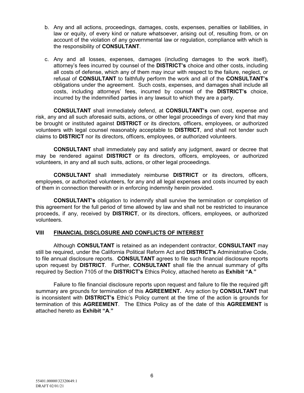- b. Any and all actions, proceedings, damages, costs, expenses, penalties or liabilities, in law or equity, of every kind or nature whatsoever, arising out of, resulting from, or on account of the violation of any governmental law or regulation, compliance with which is the responsibility of **CONSULTANT**.
- c. Any and all losses, expenses, damages (including damages to the work itself), attorney's fees incurred by counsel of the **DISTRICT's** choice and other costs, including all costs of defense, which any of them may incur with respect to the failure, neglect, or refusal of **CONSULTANT** to faithfully perform the work and all of the **CONSULTANT's** obligations under the agreement. Such costs, expenses, and damages shall include all costs, including attorneys' fees, incurred by counsel of the **DISTRICT's** choice, incurred by the indemnified parties in any lawsuit to which they are a party.

**CONSULTANT** shall immediately defend, at **CONSULTANT's** own cost, expense and risk, any and all such aforesaid suits, actions, or other legal proceedings of every kind that may be brought or instituted against **DISTRICT** or its directors, officers, employees, or authorized volunteers with legal counsel reasonably acceptable to **DISTRICT**, and shall not tender such claims to **DISTRICT** nor its directors, officers, employees, or authorized volunteers.

**CONSULTANT** shall immediately pay and satisfy any judgment, award or decree that may be rendered against **DISTRICT** or its directors, officers, employees, or authorized volunteers, in any and all such suits, actions, or other legal proceedings.

**CONSULTANT** shall immediately reimburse **DISTRICT** or its directors, officers, employees, or authorized volunteers, for any and all legal expenses and costs incurred by each of them in connection therewith or in enforcing indemnity herein provided.

**CONSULTANT's** obligation to indemnify shall survive the termination or completion of this agreement for the full period of time allowed by law and shall not be restricted to insurance proceeds, if any, received by **DISTRICT**, or its directors, officers, employees, or authorized volunteers.

#### **VIII FINANCIAL DISCLOSURE AND CONFLICTS OF INTEREST**

Although **CONSULTANT** is retained as an independent contractor, **CONSULTANT** may still be required, under the California Political Reform Act and **DISTRICT's** Administrative Code, to file annual disclosure reports. **CONSULTANT** agrees to file such financial disclosure reports upon request by **DISTRICT**. Further, **CONSULTANT** shall file the annual summary of gifts required by Section 7105 of the **DISTRICT's** Ethics Policy, attached hereto as **Exhibit "A**.**"** 

Failure to file financial disclosure reports upon request and failure to file the required gift summary are grounds for termination of this **AGREEMENT.** Any action by **CONSULTANT** that is inconsistent with **DISTRICT's** Ethic's Policy current at the time of the action is grounds for termination of this **AGREEMENT**. The Ethics Policy as of the date of this **AGREEMENT** is attached hereto as **Exhibit "A**.**"**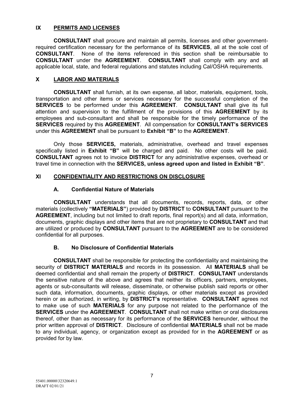#### **IX PERMITS AND LICENSES**

**CONSULTANT** shall procure and maintain all permits, licenses and other governmentrequired certification necessary for the performance of its **SERVICES**, all at the sole cost of **CONSULTANT**. None of the items referenced in this section shall be reimbursable to **CONSULTANT** under the **AGREEMENT**. **CONSULTANT** shall comply with any and all applicable local, state, and federal regulations and statutes including Cal/OSHA requirements.

#### **X LABOR AND MATERIALS**

**CONSULTANT** shall furnish, at its own expense, all labor, materials, equipment, tools, transportation and other items or services necessary for the successful completion of the **SERVICES** to be performed under this **AGREEMENT**. **CONSULTANT** shall give its full attention and supervision to the fulfillment of the provisions of this **AGREEMENT** by its employees and sub-consultant and shall be responsible for the timely performance of the **SERVICES** required by this **AGREEMENT**. All compensation for **CONSULTANT's SERVICES** under this **AGREEMENT** shall be pursuant to **Exhibit "B"** to the **AGREEMENT**.

Only those **SERVICES,** materials, administrative, overhead and travel expenses specifically listed in **Exhibit "B"** will be charged and paid. No other costs will be paid. **CONSULTANT** agrees not to invoice **DISTRICT** for any administrative expenses, overhead or travel time in connection with the **SERVICES, unless agreed upon and listed in Exhibit "B"**.

#### **XI CONFIDENTIALITY AND RESTRICTIONS ON DISCLOSURE**

#### **A. Confidential Nature of Materials**

**CONSULTANT** understands that all documents, records, reports, data, or other materials (collectively **"MATERIALS"**) provided by **DISTRICT** to **CONSULTANT** pursuant to the AGREEMENT, including but not limited to draft reports, final report(s) and all data, information, documents, graphic displays and other items that are not proprietary to **CONSULTANT** and that are utilized or produced by **CONSULTANT** pursuant to the **AGREEMENT** are to be considered confidential for all purposes.

#### **B. No Disclosure of Confidential Materials**

**CONSULTANT** shall be responsible for protecting the confidentiality and maintaining the security of **DISTRICT MATERIALS** and records in its possession. All **MATERIALS** shall be deemed confidential and shall remain the property of **DISTRICT**. **CONSULTANT** understands the sensitive nature of the above and agrees that neither its officers, partners, employees, agents or sub-consultants will release, disseminate, or otherwise publish said reports or other such data, information, documents, graphic displays, or other materials except as provided herein or as authorized, in writing, by **DISTRICT's** representative. **CONSULTANT** agrees not to make use of such **MATERIALS** for any purpose not related to the performance of the **SERVICES** under the **AGREEMENT**. **CONSULTANT** shall not make written or oral disclosures thereof, other than as necessary for its performance of the **SERVICES** hereunder, without the prior written approval of **DISTRICT**. Disclosure of confidential **MATERIALS** shall not be made to any individual, agency, or organization except as provided for in the **AGREEMENT** or as provided for by law.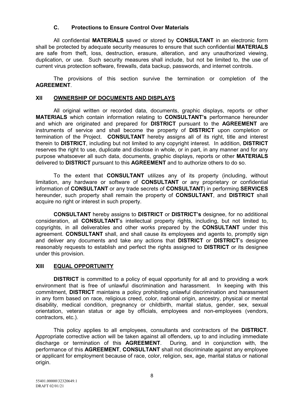#### **C. Protections to Ensure Control Over Materials**

All confidential **MATERIALS** saved or stored by **CONSULTANT** in an electronic form shall be protected by adequate security measures to ensure that such confidential **MATERIALS** are safe from theft, loss, destruction, erasure, alteration, and any unauthorized viewing, duplication, or use. Such security measures shall include, but not be limited to, the use of current virus protection software, firewalls, data backup, passwords, and internet controls.

The provisions of this section survive the termination or completion of the **AGREEMENT**.

#### **XII OWNERSHIP OF DOCUMENTS AND DISPLAYS**

All original written or recorded data, documents, graphic displays, reports or other **MATERIALS** which contain information relating to **CONSULTANT's** performance hereunder and which are originated and prepared for **DISTRICT** pursuant to the **AGREEMENT** are instruments of service and shall become the property of **DISTRICT** upon completion or termination of the Project. **CONSULTANT** hereby assigns all of its right, title and interest therein to **DISTRICT**, including but not limited to any copyright interest. In addition, **DISTRICT** reserves the right to use, duplicate and disclose in whole, or in part, in any manner and for any purpose whatsoever all such data, documents, graphic displays, reports or other **MATERIALS** delivered to **DISTRICT** pursuant to this **AGREEMENT** and to authorize others to do so.

To the extent that **CONSULTANT** utilizes any of its property (including, without limitation, any hardware or software of **CONSULTANT** or any proprietary or confidential information of **CONSULTANT** or any trade secrets of **CONSULTANT**) in performing **SERVICES** hereunder, such property shall remain the property of **CONSULTANT**, and **DISTRICT** shall acquire no right or interest in such property.

**CONSULTANT** hereby assigns to **DISTRICT** or **DISTRICT's** designee, for no additional consideration, all **CONSULTANT**'s intellectual property rights, including, but not limited to, copyrights, in all deliverables and other works prepared by the **CONSULTANT** under this agreement. **CONSULTANT** shall, and shall cause its employees and agents to, promptly sign and deliver any documents and take any actions that **DISTRICT** or **DISTRICT**'s designee reasonably requests to establish and perfect the rights assigned to **DISTRICT** or its designee under this provision.

#### **XIII EQUAL OPPORTUNITY**

**DISTRICT** is committed to a policy of equal opportunity for all and to providing a work environment that is free of unlawful discrimination and harassment. In keeping with this commitment, **DISTRICT** maintains a policy prohibiting unlawful discrimination and harassment in any form based on race, religious creed, color, national origin, ancestry, physical or mental disability, medical condition, pregnancy or childbirth, marital status, gender, sex, sexual orientation, veteran status or age by officials, employees and non-employees (vendors, contractors, etc.).

This policy applies to all employees, consultants and contractors of the **DISTRICT**. Appropriate corrective action will be taken against all offenders, up to and including immediate discharge or termination of this **AGREEMENT**. During, and in conjunction with, the performance of this **AGREEMENT**, **CONSULTANT** shall not discriminate against any employee or applicant for employment because of race, color, religion, sex, age, marital status or national origin.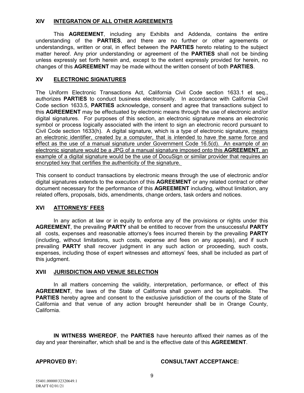#### **XIV INTEGRATION OF ALL OTHER AGREEMENTS**

This **AGREEMENT**, including any Exhibits and Addenda, contains the entire understanding of the **PARTIES**, and there are no further or other agreements or understandings, written or oral, in effect between the **PARTIES** hereto relating to the subject matter hereof. Any prior understanding or agreement of the **PARTIES** shall not be binding unless expressly set forth herein and, except to the extent expressly provided for herein, no changes of this **AGREEMENT** may be made without the written consent of both **PARTIES**.

#### **XV ELECTRONIC SIGNATURES**

The Uniform Electronic Transactions Act, California Civil Code section 1633.1 et seq., authorizes **PARTIES** to conduct business electronically. In accordance with California Civil Code section 1633.5, **PARTIES** acknowledge, consent and agree that transactions subject to this **AGREEMENT** may be effectuated by electronic means through the use of electronic and/or digital signatures. For purposes of this section, an electronic signature means an electronic symbol or process logically associated with the intent to sign an electronic record pursuant to Civil Code section 1633(h). A digital signature, which is a type of electronic signature, means an electronic identifier, created by a computer, that is intended to have the same force and effect as the use of a manual signature under Government Code 16.5(d). An example of an electronic signature would be a JPG of a manual signature imposed onto this **AGREEMENT**, an example of a digital signature would be the use of DocuSign or similar provider that requires an encrypted key that certifies the authenticity of the signature.

This consent to conduct transactions by electronic means through the use of electronic and/or digital signatures extends to the execution of this **AGREEMENT** or any related contract or other document necessary for the performance of this **AGREEMENT** including, without limitation, any related offers, proposals, bids, amendments, change orders, task orders and notices.

#### **XVI ATTORNEYS' FEES**

In any action at law or in equity to enforce any of the provisions or rights under this **AGREEMENT**, the prevailing **PARTY** shall be entitled to recover from the unsuccessful **PARTY** all costs, expenses and reasonable attorney's fees incurred therein by the prevailing **PARTY** (including, without limitations, such costs, expense and fees on any appeals), and if such prevailing **PARTY** shall recover judgment in any such action or proceeding, such costs, expenses, including those of expert witnesses and attorneys' fees, shall be included as part of this judgment.

#### **XVII JURISDICTION AND VENUE SELECTION**

In all matters concerning the validity, interpretation, performance, or effect of this **AGREEMENT**, the laws of the State of California shall govern and be applicable. The **PARTIES** hereby agree and consent to the exclusive jurisdiction of the courts of the State of California and that venue of any action brought hereunder shall be in Orange County, California.

**IN WITNESS WHEREOF**, the **PARTIES** have hereunto affixed their names as of the day and year thereinafter, which shall be and is the effective date of this **AGREEMENT**.

#### **APPROVED BY: CONSULTANT ACCEPTANCE:**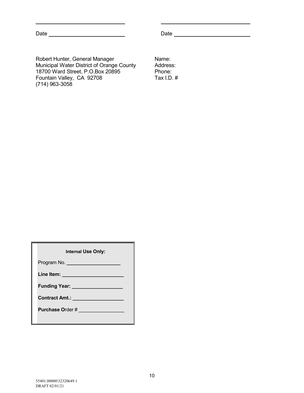Date Date

Robert Hunter, General Manager Municipal Water District of Orange County 18700 Ward Street, P.O.Box 20895 Fountain Valley, CA 92708 (714) 963-3058

Name: Address: Phone: Tax I.D. #

| <b>Internal Use Only:</b>                                                                                      |  |
|----------------------------------------------------------------------------------------------------------------|--|
| Program No. _____________________                                                                              |  |
| Line Item: ______________________                                                                              |  |
| Funding Year: Network of The Manuscript Control of The Manuscript Control of The Manuscript Control of The Ter |  |
| Contract Amt.: New York Contract Amt.:                                                                         |  |
| Purchase Order #                                                                                               |  |
|                                                                                                                |  |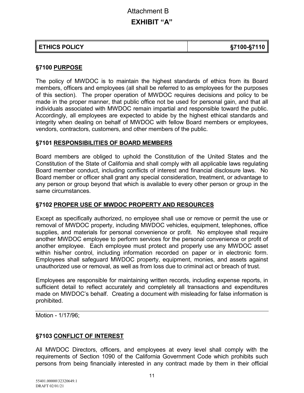# Attachment B

# **EXHIBIT "A"**

| <b>ETHICS POLICY</b> | §7100-§7110 |
|----------------------|-------------|
|----------------------|-------------|

# **§7100 PURPOSE**

The policy of MWDOC is to maintain the highest standards of ethics from its Board members, officers and employees (all shall be referred to as employees for the purposes of this section). The proper operation of MWDOC requires decisions and policy to be made in the proper manner, that public office not be used for personal gain, and that all individuals associated with MWDOC remain impartial and responsible toward the public. Accordingly, all employees are expected to abide by the highest ethical standards and integrity when dealing on behalf of MWDOC with fellow Board members or employees, vendors, contractors, customers, and other members of the public.

# **§7101 RESPONSIBILITIES OF BOARD MEMBERS**

Board members are obliged to uphold the Constitution of the United States and the Constitution of the State of California and shall comply with all applicable laws regulating Board member conduct, including conflicts of interest and financial disclosure laws. No Board member or officer shall grant any special consideration, treatment, or advantage to any person or group beyond that which is available to every other person or group in the same circumstances.

# **§7102 PROPER USE OF MWDOC PROPERTY AND RESOURCES**

Except as specifically authorized, no employee shall use or remove or permit the use or removal of MWDOC property, including MWDOC vehicles, equipment, telephones, office supplies, and materials for personal convenience or profit. No employee shall require another MWDOC employee to perform services for the personal convenience or profit of another employee. Each employee must protect and properly use any MWDOC asset within his/her control, including information recorded on paper or in electronic form. Employees shall safeguard MWDOC property, equipment, monies, and assets against unauthorized use or removal, as well as from loss due to criminal act or breach of trust.

Employees are responsible for maintaining written records, including expense reports, in sufficient detail to reflect accurately and completely all transactions and expenditures made on MWDOC's behalf. Creating a document with misleading for false information is prohibited.

Motion - 1/17/96;

# **§7103 CONFLICT OF INTEREST**

All MWDOC Directors, officers, and employees at every level shall comply with the requirements of Section 1090 of the California Government Code which prohibits such persons from being financially interested in any contract made by them in their official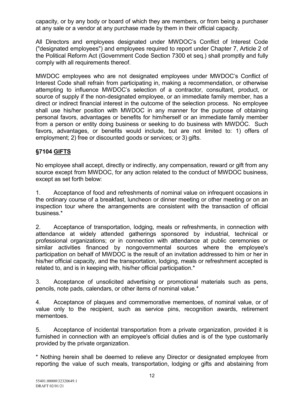capacity, or by any body or board of which they are members, or from being a purchaser at any sale or a vendor at any purchase made by them in their official capacity.

All Directors and employees designated under MWDOC's Conflict of Interest Code ("designated employees") and employees required to report under Chapter 7, Article 2 of the Political Reform Act (Government Code Section 7300 et seq.) shall promptly and fully comply with all requirements thereof.

MWDOC employees who are not designated employees under MWDOC's Conflict of Interest Code shall refrain from participating in, making a recommendation, or otherwise attempting to influence MWDOC's selection of a contractor, consultant, product, or source of supply if the non-designated employee, or an immediate family member, has a direct or indirect financial interest in the outcome of the selection process. No employee shall use his/her position with MWDOC in any manner for the purpose of obtaining personal favors, advantages or benefits for him/herself or an immediate family member from a person or entity doing business or seeking to do business with MWDOC. Such favors, advantages, or benefits would include, but are not limited to: 1) offers of employment; 2) free or discounted goods or services; or 3) gifts.

# **§7104 GIFTS**

No employee shall accept, directly or indirectly, any compensation, reward or gift from any source except from MWDOC, for any action related to the conduct of MWDOC business, except as set forth below:

1. Acceptance of food and refreshments of nominal value on infrequent occasions in the ordinary course of a breakfast, luncheon or dinner meeting or other meeting or on an inspection tour where the arrangements are consistent with the transaction of official business.\*

2. Acceptance of transportation, lodging, meals or refreshments, in connection with attendance at widely attended gatherings sponsored by industrial, technical or professional organizations; or in connection with attendance at public ceremonies or similar activities financed by nongovernmental sources where the employee's participation on behalf of MWDOC is the result of an invitation addressed to him or her in his/her official capacity, and the transportation, lodging, meals or refreshment accepted is related to, and is in keeping with, his/her official participation.\*

3. Acceptance of unsolicited advertising or promotional materials such as pens, pencils, note pads, calendars, or other items of nominal value.\*

4. Acceptance of plaques and commemorative mementoes, of nominal value, or of value only to the recipient, such as service pins, recognition awards, retirement mementoes.

5. Acceptance of incidental transportation from a private organization, provided it is furnished in connection with an employee's official duties and is of the type customarily provided by the private organization.

\* Nothing herein shall be deemed to relieve any Director or designated employee from reporting the value of such meals, transportation, lodging or gifts and abstaining from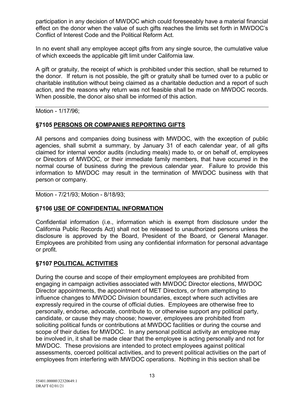participation in any decision of MWDOC which could foreseeably have a material financial effect on the donor when the value of such gifts reaches the limits set forth in MWDOC's Conflict of Interest Code and the Political Reform Act.

In no event shall any employee accept gifts from any single source, the cumulative value of which exceeds the applicable gift limit under California law.

A gift or gratuity, the receipt of which is prohibited under this section, shall be returned to the donor. If return is not possible, the gift or gratuity shall be turned over to a public or charitable institution without being claimed as a charitable deduction and a report of such action, and the reasons why return was not feasible shall be made on MWDOC records. When possible, the donor also shall be informed of this action.

Motion - 1/17/96;

# **§7105 PERSONS OR COMPANIES REPORTING GIFTS**

All persons and companies doing business with MWDOC, with the exception of public agencies, shall submit a summary, by January 31 of each calendar year, of all gifts claimed for internal vendor audits (including meals) made to, or on behalf of, employees or Directors of MWDOC, or their immediate family members, that have occurred in the normal course of business during the previous calendar year. Failure to provide this information to MWDOC may result in the termination of MWDOC business with that person or company.

Motion - 7/21/93; Motion - 8/18/93;

# **§7106 USE OF CONFIDENTIAL INFORMATION**

Confidential information (i.e., information which is exempt from disclosure under the California Public Records Act) shall not be released to unauthorized persons unless the disclosure is approved by the Board, President of the Board, or General Manager. Employees are prohibited from using any confidential information for personal advantage or profit.

# **§7107 POLITICAL ACTIVITIES**

During the course and scope of their employment employees are prohibited from engaging in campaign activities associated with MWDOC Director elections, MWDOC Director appointments, the appointment of MET Directors, or from attempting to influence changes to MWDOC Division boundaries, except where such activities are expressly required in the course of official duties. Employees are otherwise free to personally, endorse, advocate, contribute to, or otherwise support any political party, candidate, or cause they may choose; however, employees are prohibited from soliciting political funds or contributions at MWDOC facilities or during the course and scope of their duties for MWDOC. In any personal political activity an employee may be involved in, it shall be made clear that the employee is acting personally and not for MWDOC. These provisions are intended to protect employees against political assessments, coerced political activities, and to prevent political activities on the part of employees from interfering with MWDOC operations. Nothing in this section shall be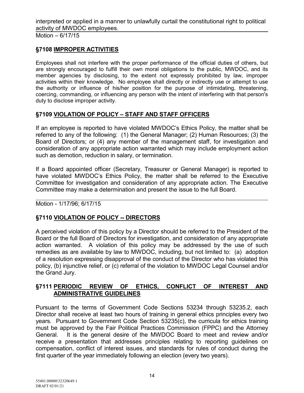interpreted or applied in a manner to unlawfully curtail the constitutional right to political activity of MWDOC employees.

Motion – 6/17/15

# **§7108 IMPROPER ACTIVITIES**

Employees shall not interfere with the proper performance of the official duties of others, but are strongly encouraged to fulfill their own moral obligations to the public, MWDOC, and its member agencies by disclosing, to the extent not expressly prohibited by law, improper activities within their knowledge. No employee shall directly or indirectly use or attempt to use the authority or influence of his/her position for the purpose of intimidating, threatening, coercing, commanding, or influencing any person with the intent of interfering with that person's duty to disclose improper activity.

# **§7109 VIOLATION OF POLICY – STAFF AND STAFF OFFICERS**

If an employee is reported to have violated MWDOC's Ethics Policy, the matter shall be referred to any of the following: (1) the General Manager; (2) Human Resources; (3) the Board of Directors; or (4) any member of the management staff, for investigation and consideration of any appropriate action warranted which may include employment action such as demotion, reduction in salary, or termination.

If a Board appointed officer (Secretary, Treasurer or General Manager) is reported to have violated MWDOC's Ethics Policy, the matter shall be referred to the Executive Committee for investigation and consideration of any appropriate action. The Executive Committee may make a determination and present the issue to the full Board.

Motion - 1/17/96; 6/17/15

# **§7110 VIOLATION OF POLICY -- DIRECTORS**

A perceived violation of this policy by a Director should be referred to the President of the Board or the full Board of Directors for investigation, and consideration of any appropriate action warranted. A violation of this policy may be addressed by the use of such remedies as are available by law to MWDOC, including, but not limited to: (a) adoption of a resolution expressing disapproval of the conduct of the Director who has violated this policy, (b) injunctive relief, or (c) referral of the violation to MWDOC Legal Counsel and/or the Grand Jury.

# **§7111 PERIODIC REVIEW OF ETHICS, CONFLICT OF INTEREST AND ADMINISTRATIVE GUIDELINES**

Pursuant to the terms of Government Code Sections 53234 through 53235.2, each Director shall receive at least two hours of training in general ethics principles every two years. Pursuant to Government Code Section 53235(c), the curricula for ethics training must be approved by the Fair Political Practices Commission (FPPC) and the Attorney General. It is the general desire of the MWDOC Board to meet and review and/or receive a presentation that addresses principles relating to reporting guidelines on compensation, conflict of interest issues, and standards for rules of conduct during the first quarter of the year immediately following an election (every two years).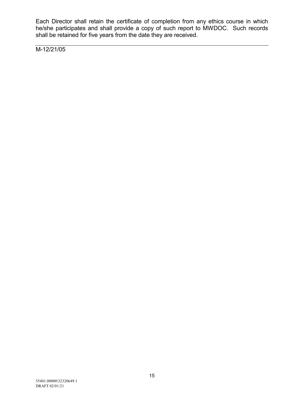Each Director shall retain the certificate of completion from any ethics course in which he/she participates and shall provide a copy of such report to MWDOC. Such records shall be retained for five years from the date they are received.

M-12/21/05